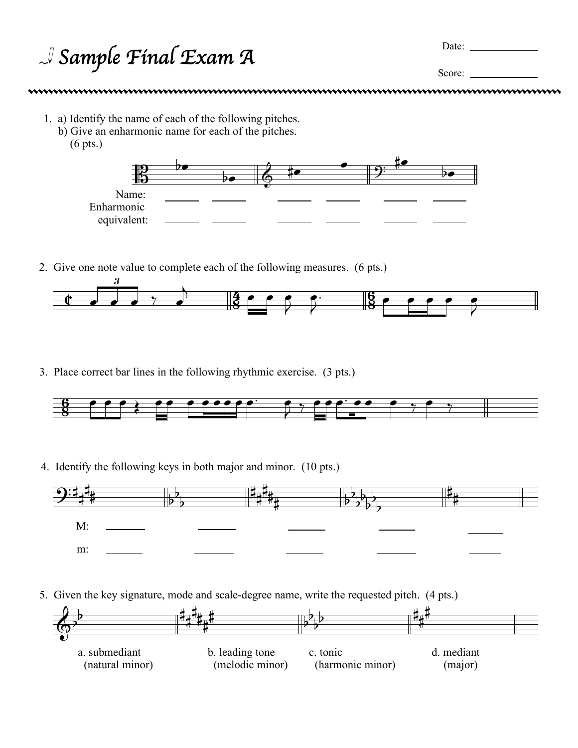| $\mathcal{A}$ Sample Final Exam A | Date: |  |
|-----------------------------------|-------|--|
|                                   |       |  |

Score:

- 1. a) Identify the name of each of the following pitches.
	- b) Give an enharmonic name for each of the pitches.
		- (6 pts.)



2. Give one note value to complete each of the following measures. (6 pts.)



3. Place correct bar lines in the following rhythmic exercise. (3 pts.)



4. Identify the following keys in both major and minor. (10 pts.)



5. Given the key signature, mode and scale-degree name, write the requested pitch. (4 pts.)

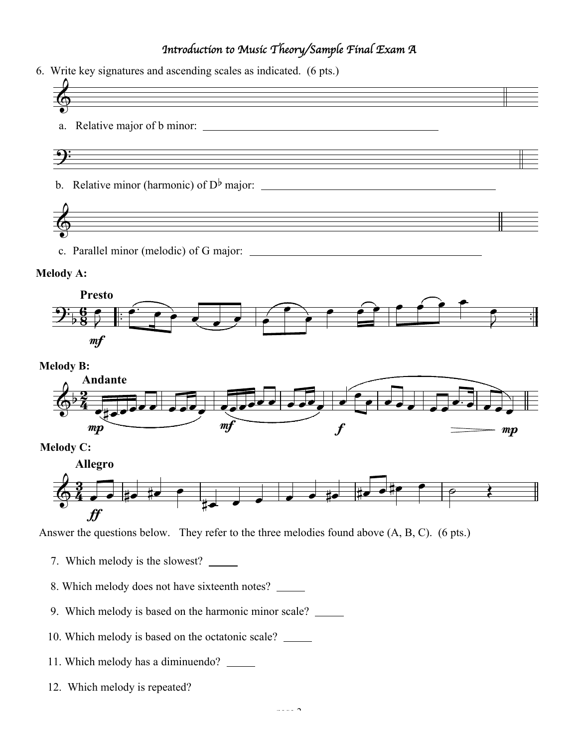## *Introduction to Music Theory/Sample Final Exam A*

6. Write key signatures and ascending scales as indicated. (6 pts.)



c. Parallel minor (melodic) of G major:

## **Melody A:**





```
Melody C:
```


Answer the questions below. They refer to the three melodies found above (A, B, C). (6 pts.)

- 7. Which melody is the slowest?
- 8. Which melody does not have sixteenth notes?
- 9. Which melody is based on the harmonic minor scale?
- 10. Which melody is based on the octatonic scale?
- 11. Which melody has a diminuendo?
- 12. Which melody is repeated?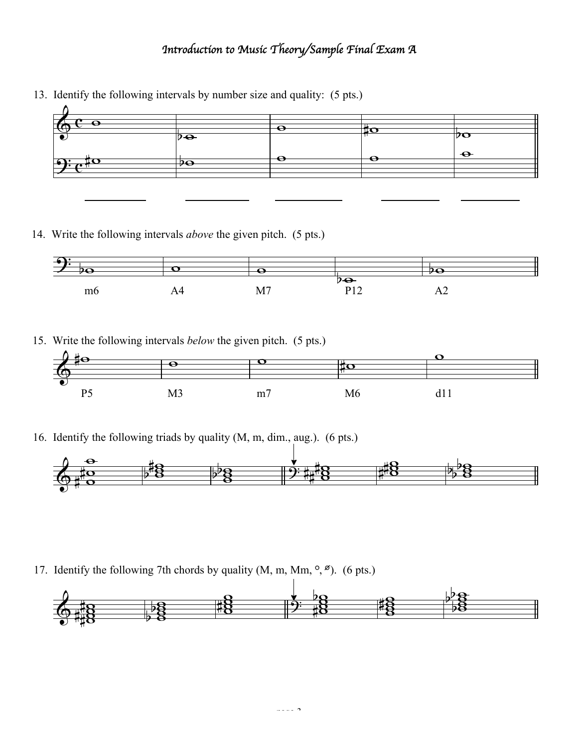## *Introduction to Music Theory/Sample Final Exam A*

- $\overline{\mathbf{e}}$  $\Phi$  $\overline{\bullet}$  $\overline{p_{\bigoplus}}$  $\overline{\bullet}$   $\overline{\bullet}$   $\overline{\bullet}$   $\overline{\bullet}$   $\overline{\bullet}$   $\overline{\circ}$
- 13. Identify the following intervals by number size and quality: (5 pts.)

14. Write the following intervals *above* the given pitch. (5 pts.)



15. Write the following intervals *below* the given pitch. (5 pts.)



16. Identify the following triads by quality (M, m, dim., aug.). (6 pts.)



17. Identify the following 7th chords by quality  $(M, m, Mm, \degree, \degree)$ . (6 pts.)